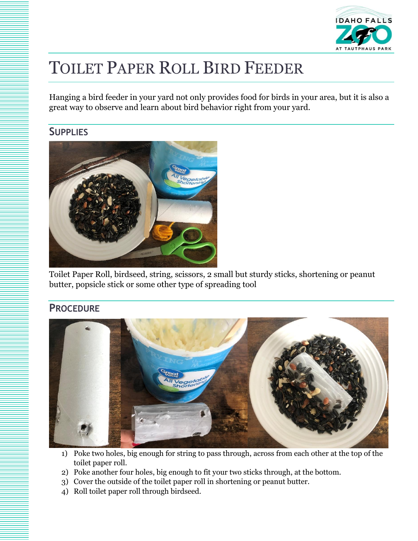

## TOILET PAPER ROLL BIRD FEEDER

Hanging a bird feeder in your yard not only provides food for birds in your area, but it is also a great way to observe and learn about bird behavior right from your yard.

## **SUPPLIES**



Toilet Paper Roll, birdseed, string, scissors, 2 small but sturdy sticks, shortening or peanut butter, popsicle stick or some other type of spreading tool

## **PROCEDURE**



- 1) Poke two holes, big enough for string to pass through, across from each other at the top of the toilet paper roll.
- 2) Poke another four holes, big enough to fit your two sticks through, at the bottom.
- 3) Cover the outside of the toilet paper roll in shortening or peanut butter.
- 4) Roll toilet paper roll through birdseed.